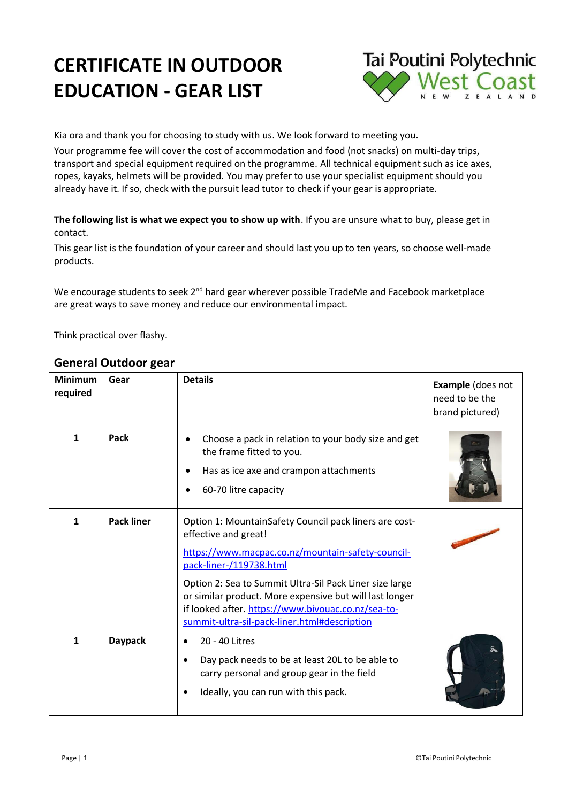# **CERTIFICATE IN OUTDOOR EDUCATION - GEAR LIST**



Kia ora and thank you for choosing to study with us. We look forward to meeting you.

Your programme fee will cover the cost of accommodation and food (not snacks) on multi-day trips, transport and special equipment required on the programme. All technical equipment such as ice axes, ropes, kayaks, helmets will be provided. You may prefer to use your specialist equipment should you already have it. If so, check with the pursuit lead tutor to check if your gear is appropriate.

### **The following list is what we expect you to show up with**. If you are unsure what to buy, please get in contact.

This gear list is the foundation of your career and should last you up to ten years, so choose well-made products.

We encourage students to seek 2<sup>nd</sup> hard gear wherever possible TradeMe and Facebook marketplace are great ways to save money and reduce our environmental impact.

Think practical over flashy.

| <b>Minimum</b><br>required | Gear              | <b>Details</b>                                                                                                                                                                                                                                                                                                                                                                             | <b>Example</b> (does not<br>need to be the<br>brand pictured) |
|----------------------------|-------------------|--------------------------------------------------------------------------------------------------------------------------------------------------------------------------------------------------------------------------------------------------------------------------------------------------------------------------------------------------------------------------------------------|---------------------------------------------------------------|
| 1                          | Pack              | Choose a pack in relation to your body size and get<br>the frame fitted to you.<br>Has as ice axe and crampon attachments<br>60-70 litre capacity                                                                                                                                                                                                                                          |                                                               |
| $\mathbf{1}$               | <b>Pack liner</b> | Option 1: MountainSafety Council pack liners are cost-<br>effective and great!<br>https://www.macpac.co.nz/mountain-safety-council-<br>pack-liner-/119738.html<br>Option 2: Sea to Summit Ultra-Sil Pack Liner size large<br>or similar product. More expensive but will last longer<br>if looked after. https://www.bivouac.co.nz/sea-to-<br>summit-ultra-sil-pack-liner.html#description |                                                               |
| 1                          | <b>Daypack</b>    | 20 - 40 Litres<br>Day pack needs to be at least 20L to be able to<br>carry personal and group gear in the field<br>Ideally, you can run with this pack.                                                                                                                                                                                                                                    |                                                               |

### **General Outdoor gear**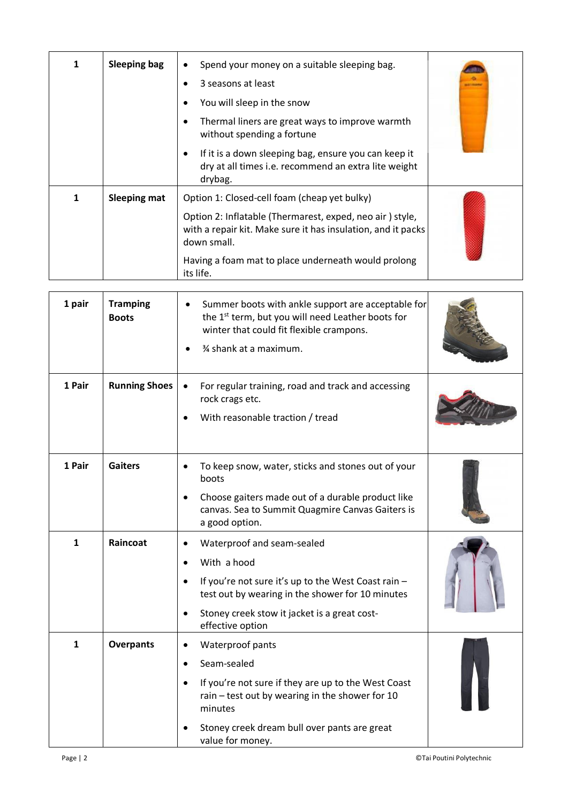| 1 | <b>Sleeping bag</b> | Spend your money on a suitable sleeping bag.<br>$\bullet$<br>3 seasons at least                                                         |
|---|---------------------|-----------------------------------------------------------------------------------------------------------------------------------------|
|   |                     | You will sleep in the snow                                                                                                              |
|   |                     | Thermal liners are great ways to improve warmth<br>without spending a fortune                                                           |
|   |                     | If it is a down sleeping bag, ensure you can keep it<br>$\bullet$<br>dry at all times i.e. recommend an extra lite weight<br>drybag.    |
| 1 | <b>Sleeping mat</b> | Option 1: Closed-cell foam (cheap yet bulky)                                                                                            |
|   |                     | Option 2: Inflatable (Thermarest, exped, neo air) style,<br>with a repair kit. Make sure it has insulation, and it packs<br>down small. |
|   |                     | Having a foam mat to place underneath would prolong<br>its life.                                                                        |

| 1 pair       | <b>Tramping</b><br><b>Boots</b> | Summer boots with ankle support are acceptable for<br>the 1 <sup>st</sup> term, but you will need Leather boots for<br>winter that could fit flexible crampons.<br>% shank at a maximum.                                              |  |
|--------------|---------------------------------|---------------------------------------------------------------------------------------------------------------------------------------------------------------------------------------------------------------------------------------|--|
| 1 Pair       | <b>Running Shoes</b>            | For regular training, road and track and accessing<br>rock crags etc.<br>With reasonable traction / tread                                                                                                                             |  |
| 1 Pair       | <b>Gaiters</b>                  | To keep snow, water, sticks and stones out of your<br>boots<br>Choose gaiters made out of a durable product like<br>canvas. Sea to Summit Quagmire Canvas Gaiters is<br>a good option.                                                |  |
| $\mathbf{1}$ | Raincoat                        | Waterproof and seam-sealed<br>With a hood<br>If you're not sure it's up to the West Coast rain -<br>$\bullet$<br>test out by wearing in the shower for 10 minutes<br>Stoney creek stow it jacket is a great cost-<br>effective option |  |
| $\mathbf{1}$ | <b>Overpants</b>                | Waterproof pants<br>Seam-sealed<br>If you're not sure if they are up to the West Coast<br>$\bullet$<br>rain - test out by wearing in the shower for 10<br>minutes<br>Stoney creek dream bull over pants are great<br>value for money. |  |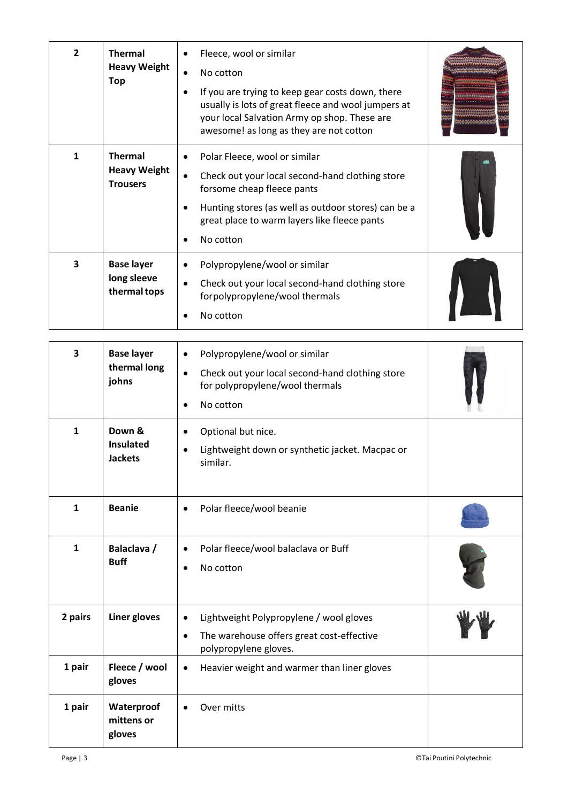| $\overline{2}$ | <b>Thermal</b><br><b>Heavy Weight</b><br><b>Top</b>      | $\bullet$<br>$\bullet$<br>$\bullet$ | Fleece, wool or similar<br>No cotton<br>If you are trying to keep gear costs down, there<br>usually is lots of great fleece and wool jumpers at<br>your local Salvation Army op shop. These are<br>awesome! as long as they are not cotton |  |
|----------------|----------------------------------------------------------|-------------------------------------|--------------------------------------------------------------------------------------------------------------------------------------------------------------------------------------------------------------------------------------------|--|
| 1              | <b>Thermal</b><br><b>Heavy Weight</b><br><b>Trousers</b> | ٠<br>$\bullet$<br>٠                 | Polar Fleece, wool or similar<br>Check out your local second-hand clothing store<br>forsome cheap fleece pants<br>Hunting stores (as well as outdoor stores) can be a<br>great place to warm layers like fleece pants<br>No cotton         |  |
| 3              | <b>Base layer</b><br>long sleeve<br>thermal tops         | $\bullet$<br>$\bullet$              | Polypropylene/wool or similar<br>Check out your local second-hand clothing store<br>forpolypropylene/wool thermals<br>No cotton                                                                                                            |  |

| 3<br>$\mathbf{1}$ | <b>Base layer</b><br>thermal long<br>johns<br>Down &<br><b>Insulated</b><br><b>Jackets</b> | Polypropylene/wool or similar<br>$\bullet$<br>Check out your local second-hand clothing store<br>$\bullet$<br>for polypropylene/wool thermals<br>No cotton<br>$\bullet$<br>Optional but nice.<br>$\bullet$<br>Lightweight down or synthetic jacket. Macpac or<br>similar. |  |
|-------------------|--------------------------------------------------------------------------------------------|---------------------------------------------------------------------------------------------------------------------------------------------------------------------------------------------------------------------------------------------------------------------------|--|
| $\mathbf{1}$      | <b>Beanie</b>                                                                              | Polar fleece/wool beanie                                                                                                                                                                                                                                                  |  |
| $\mathbf{1}$      | Balaclava /<br><b>Buff</b>                                                                 | Polar fleece/wool balaclava or Buff<br>$\bullet$<br>No cotton                                                                                                                                                                                                             |  |
| 2 pairs           | Liner gloves                                                                               | Lightweight Polypropylene / wool gloves<br>$\bullet$<br>The warehouse offers great cost-effective<br>$\bullet$<br>polypropylene gloves.                                                                                                                                   |  |
| 1 pair            | Fleece / wool<br>gloves                                                                    | Heavier weight and warmer than liner gloves<br>$\bullet$                                                                                                                                                                                                                  |  |
| 1 pair            | Waterproof<br>mittens or<br>gloves                                                         | Over mitts                                                                                                                                                                                                                                                                |  |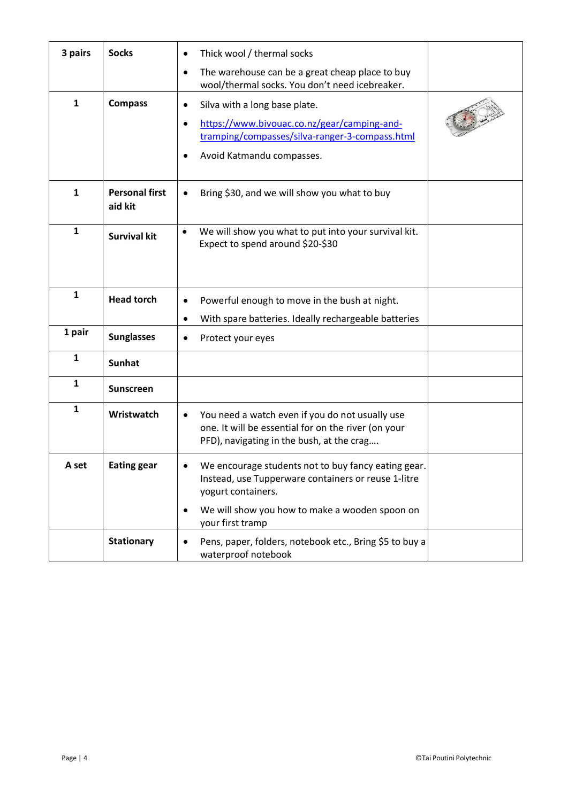| 3 pairs      | <b>Socks</b>                     | Thick wool / thermal socks<br>$\bullet$                                                                                                                                                         |  |
|--------------|----------------------------------|-------------------------------------------------------------------------------------------------------------------------------------------------------------------------------------------------|--|
|              |                                  | The warehouse can be a great cheap place to buy<br>$\bullet$<br>wool/thermal socks. You don't need icebreaker.                                                                                  |  |
| $\mathbf{1}$ | <b>Compass</b>                   | Silva with a long base plate.<br>$\bullet$<br>https://www.bivouac.co.nz/gear/camping-and-<br>$\bullet$<br>tramping/compasses/silva-ranger-3-compass.html<br>Avoid Katmandu compasses.           |  |
| $\mathbf{1}$ | <b>Personal first</b><br>aid kit | Bring \$30, and we will show you what to buy                                                                                                                                                    |  |
| $\mathbf{1}$ | <b>Survival kit</b>              | We will show you what to put into your survival kit.<br>$\bullet$<br>Expect to spend around \$20-\$30                                                                                           |  |
| $\mathbf{1}$ | <b>Head torch</b>                | Powerful enough to move in the bush at night.<br>$\bullet$                                                                                                                                      |  |
| 1 pair       | <b>Sunglasses</b>                | With spare batteries. Ideally rechargeable batteries<br>Protect your eyes                                                                                                                       |  |
| 1            | <b>Sunhat</b>                    |                                                                                                                                                                                                 |  |
| 1            | <b>Sunscreen</b>                 |                                                                                                                                                                                                 |  |
| $\mathbf{1}$ | Wristwatch                       | You need a watch even if you do not usually use<br>$\bullet$<br>one. It will be essential for on the river (on your<br>PFD), navigating in the bush, at the crag                                |  |
| A set        | <b>Eating gear</b>               | We encourage students not to buy fancy eating gear.<br>Instead, use Tupperware containers or reuse 1-litre<br>yogurt containers.<br>We will show you how to make a wooden spoon on<br>$\bullet$ |  |
|              | <b>Stationary</b>                | your first tramp<br>Pens, paper, folders, notebook etc., Bring \$5 to buy a<br>$\bullet$                                                                                                        |  |
|              |                                  | waterproof notebook                                                                                                                                                                             |  |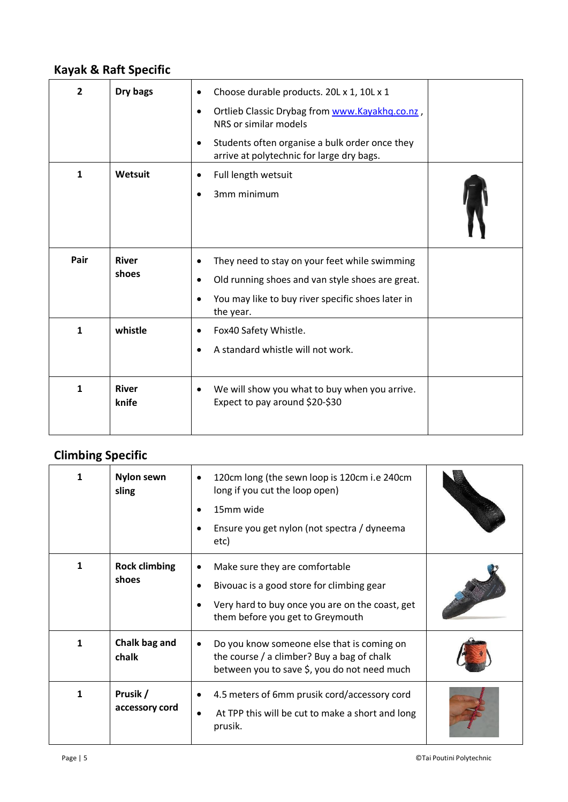### **Kayak & Raft Specific**

| $\overline{2}$<br>$\mathbf{1}$ | Dry bags<br>Wetsuit   | Choose durable products. 20L x 1, 10L x 1<br>$\bullet$<br>Ortlieb Classic Drybag from www.Kayakhq.co.nz,<br>$\bullet$<br>NRS or similar models<br>Students often organise a bulk order once they<br>$\bullet$<br>arrive at polytechnic for large dry bags.<br>Full length wetsuit<br>3mm minimum |  |
|--------------------------------|-----------------------|--------------------------------------------------------------------------------------------------------------------------------------------------------------------------------------------------------------------------------------------------------------------------------------------------|--|
| Pair                           | <b>River</b><br>shoes | They need to stay on your feet while swimming<br>٠<br>Old running shoes and van style shoes are great.<br>You may like to buy river specific shoes later in<br>the year.                                                                                                                         |  |
| $\mathbf{1}$                   | whistle               | Fox40 Safety Whistle.<br>A standard whistle will not work.<br>$\bullet$                                                                                                                                                                                                                          |  |
| $\mathbf{1}$                   | <b>River</b><br>knife | We will show you what to buy when you arrive.<br>٠<br>Expect to pay around \$20-\$30                                                                                                                                                                                                             |  |

## **Climbing Specific**

|   | <b>Nylon sewn</b><br>sling    | 120cm long (the sewn loop is 120cm i.e 240cm<br>$\bullet$<br>long if you cut the loop open)<br>15mm wide<br>Ensure you get nylon (not spectra / dyneema<br>etc)    |  |
|---|-------------------------------|--------------------------------------------------------------------------------------------------------------------------------------------------------------------|--|
| 1 | <b>Rock climbing</b><br>shoes | Make sure they are comfortable<br>Bivouac is a good store for climbing gear<br>Very hard to buy once you are on the coast, get<br>them before you get to Greymouth |  |
| 1 | Chalk bag and<br>chalk        | Do you know someone else that is coming on<br>the course / a climber? Buy a bag of chalk<br>between you to save \$, you do not need much                           |  |
| 1 | Prusik /<br>accessory cord    | 4.5 meters of 6mm prusik cord/accessory cord<br>At TPP this will be cut to make a short and long<br>prusik.                                                        |  |